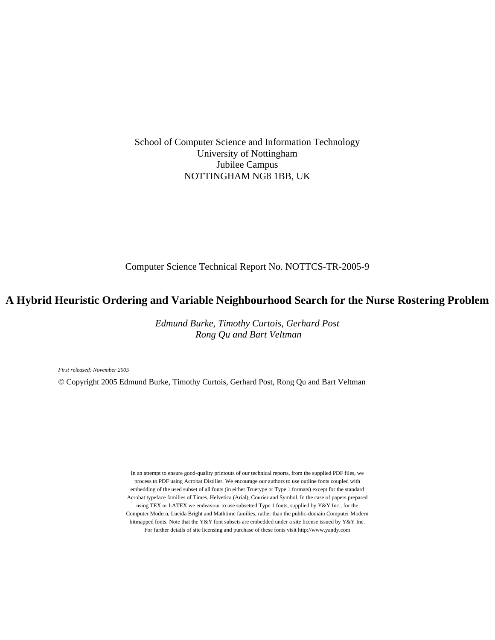School of Computer Science and Information Technology University of Nottingham Jubilee Campus NOTTINGHAM NG8 1BB, UK

Computer Science Technical Report No. NOTTCS-TR-2005-9

# **A Hybrid Heuristic Ordering and Variable Neighbourhood Search for the Nurse Rostering Problem**

*Edmund Burke, Timothy Curtois, Gerhard Post Rong Qu and Bart Veltman*

*First released: November 2005*

© Copyright 2005 Edmund Burke, Timothy Curtois, Gerhard Post, Rong Qu and Bart Veltman

In an attempt to ensure good-quality printouts of our technical reports, from the supplied PDF files, we process to PDF using Acrobat Distiller. We encourage our authors to use outline fonts coupled with embedding of the used subset of all fonts (in either Truetype or Type 1 formats) except for the standard Acrobat typeface families of Times, Helvetica (Arial), Courier and Symbol. In the case of papers prepared using TEX or LATEX we endeavour to use subsetted Type 1 fonts, supplied by Y&Y Inc., for the Computer Modern, Lucida Bright and Mathtime families, rather than the public-domain Computer Modern bitmapped fonts. Note that the Y&Y font subsets are embedded under a site license issued by Y&Y Inc. For further details of site licensing and purchase of these fonts visit http://www.yandy.com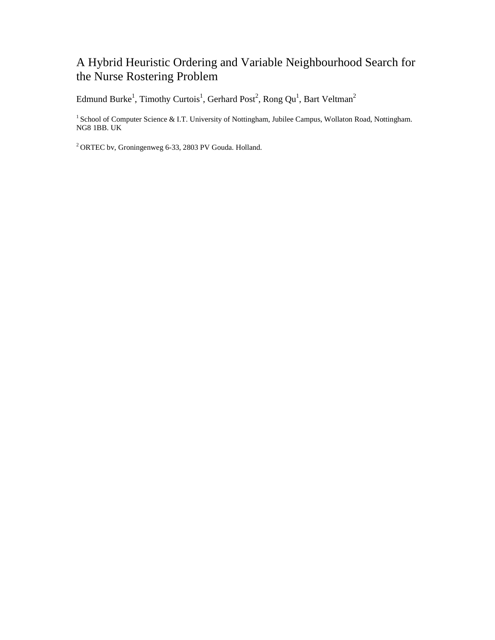# A Hybrid Heuristic Ordering and Variable Neighbourhood Search for the Nurse Rostering Problem

Edmund Burke<sup>1</sup>, Timothy Curtois<sup>1</sup>, Gerhard Post<sup>2</sup>, Rong Qu<sup>1</sup>, Bart Veltman<sup>2</sup>

<sup>1</sup> School of Computer Science & I.T. University of Nottingham, Jubilee Campus, Wollaton Road, Nottingham. NG8 1BB. UK

2 ORTEC bv, Groningenweg 6-33, 2803 PV Gouda. Holland.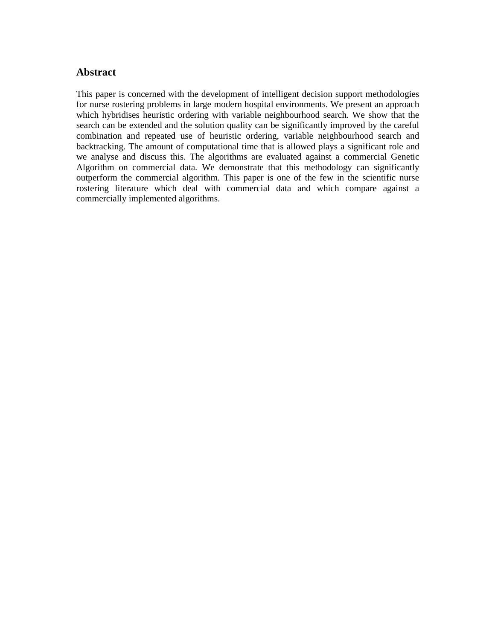# **Abstract**

This paper is concerned with the development of intelligent decision support methodologies for nurse rostering problems in large modern hospital environments. We present an approach which hybridises heuristic ordering with variable neighbourhood search. We show that the search can be extended and the solution quality can be significantly improved by the careful combination and repeated use of heuristic ordering, variable neighbourhood search and backtracking. The amount of computational time that is allowed plays a significant role and we analyse and discuss this. The algorithms are evaluated against a commercial Genetic Algorithm on commercial data. We demonstrate that this methodology can significantly outperform the commercial algorithm. This paper is one of the few in the scientific nurse rostering literature which deal with commercial data and which compare against a commercially implemented algorithms.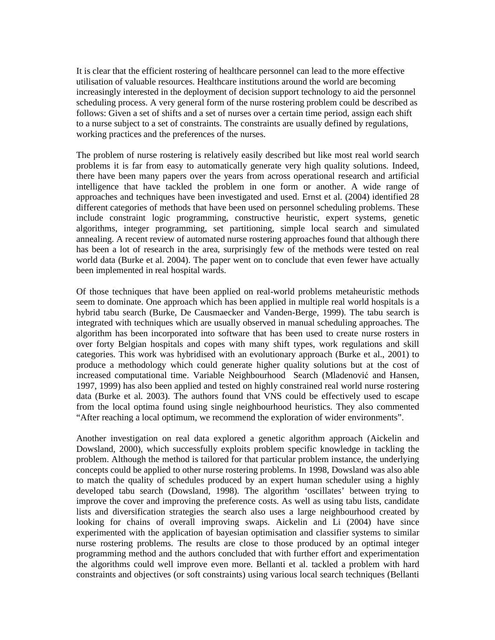It is clear that the efficient rostering of healthcare personnel can lead to the more effective utilisation of valuable resources. Healthcare institutions around the world are becoming increasingly interested in the deployment of decision support technology to aid the personnel scheduling process. A very general form of the nurse rostering problem could be described as follows: Given a set of shifts and a set of nurses over a certain time period, assign each shift to a nurse subject to a set of constraints. The constraints are usually defined by regulations, working practices and the preferences of the nurses.

The problem of nurse rostering is relatively easily described but like most real world search problems it is far from easy to automatically generate very high quality solutions. Indeed, there have been many papers over the years from across operational research and artificial intelligence that have tackled the problem in one form or another. A wide range of approaches and techniques have been investigated and used. Ernst et al. (2004) identified 28 different categories of methods that have been used on personnel scheduling problems. These include constraint logic programming, constructive heuristic, expert systems, genetic algorithms, integer programming, set partitioning, simple local search and simulated annealing. A recent review of automated nurse rostering approaches found that although there has been a lot of research in the area, surprisingly few of the methods were tested on real world data (Burke et al. 2004). The paper went on to conclude that even fewer have actually been implemented in real hospital wards.

Of those techniques that have been applied on real-world problems metaheuristic methods seem to dominate. One approach which has been applied in multiple real world hospitals is a hybrid tabu search (Burke, De Causmaecker and Vanden-Berge, 1999). The tabu search is integrated with techniques which are usually observed in manual scheduling approaches. The algorithm has been incorporated into software that has been used to create nurse rosters in over forty Belgian hospitals and copes with many shift types, work regulations and skill categories. This work was hybridised with an evolutionary approach (Burke et al., 2001) to produce a methodology which could generate higher quality solutions but at the cost of increased computational time. Variable Neighbourhood Search (Mladenović and Hansen, 1997, 1999) has also been applied and tested on highly constrained real world nurse rostering data (Burke et al. 2003). The authors found that VNS could be effectively used to escape from the local optima found using single neighbourhood heuristics. They also commented "After reaching a local optimum, we recommend the exploration of wider environments".

Another investigation on real data explored a genetic algorithm approach (Aickelin and Dowsland, 2000), which successfully exploits problem specific knowledge in tackling the problem. Although the method is tailored for that particular problem instance, the underlying concepts could be applied to other nurse rostering problems. In 1998, Dowsland was also able to match the quality of schedules produced by an expert human scheduler using a highly developed tabu search (Dowsland, 1998). The algorithm 'oscillates' between trying to improve the cover and improving the preference costs. As well as using tabu lists, candidate lists and diversification strategies the search also uses a large neighbourhood created by looking for chains of overall improving swaps. Aickelin and Li (2004) have since experimented with the application of bayesian optimisation and classifier systems to similar nurse rostering problems. The results are close to those produced by an optimal integer programming method and the authors concluded that with further effort and experimentation the algorithms could well improve even more. Bellanti et al. tackled a problem with hard constraints and objectives (or soft constraints) using various local search techniques (Bellanti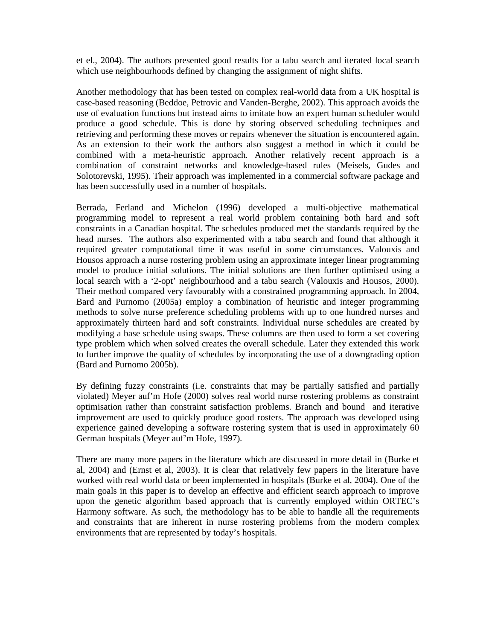et el., 2004). The authors presented good results for a tabu search and iterated local search which use neighbourhoods defined by changing the assignment of night shifts.

Another methodology that has been tested on complex real-world data from a UK hospital is case-based reasoning (Beddoe, Petrovic and Vanden-Berghe, 2002). This approach avoids the use of evaluation functions but instead aims to imitate how an expert human scheduler would produce a good schedule. This is done by storing observed scheduling techniques and retrieving and performing these moves or repairs whenever the situation is encountered again. As an extension to their work the authors also suggest a method in which it could be combined with a meta-heuristic approach. Another relatively recent approach is a combination of constraint networks and knowledge-based rules (Meisels, Gudes and Solotorevski, 1995). Their approach was implemented in a commercial software package and has been successfully used in a number of hospitals.

Berrada, Ferland and Michelon (1996) developed a multi-objective mathematical programming model to represent a real world problem containing both hard and soft constraints in a Canadian hospital. The schedules produced met the standards required by the head nurses. The authors also experimented with a tabu search and found that although it required greater computational time it was useful in some circumstances. Valouxis and Housos approach a nurse rostering problem using an approximate integer linear programming model to produce initial solutions. The initial solutions are then further optimised using a local search with a '2-opt' neighbourhood and a tabu search (Valouxis and Housos, 2000). Their method compared very favourably with a constrained programming approach. In 2004, Bard and Purnomo (2005a) employ a combination of heuristic and integer programming methods to solve nurse preference scheduling problems with up to one hundred nurses and approximately thirteen hard and soft constraints. Individual nurse schedules are created by modifying a base schedule using swaps. These columns are then used to form a set covering type problem which when solved creates the overall schedule. Later they extended this work to further improve the quality of schedules by incorporating the use of a downgrading option (Bard and Purnomo 2005b).

By defining fuzzy constraints (i.e. constraints that may be partially satisfied and partially violated) Meyer auf'm Hofe (2000) solves real world nurse rostering problems as constraint optimisation rather than constraint satisfaction problems. Branch and bound and iterative improvement are used to quickly produce good rosters. The approach was developed using experience gained developing a software rostering system that is used in approximately 60 German hospitals (Meyer auf'm Hofe, 1997).

There are many more papers in the literature which are discussed in more detail in (Burke et al, 2004) and (Ernst et al, 2003). It is clear that relatively few papers in the literature have worked with real world data or been implemented in hospitals (Burke et al, 2004). One of the main goals in this paper is to develop an effective and efficient search approach to improve upon the genetic algorithm based approach that is currently employed within ORTEC's Harmony software. As such, the methodology has to be able to handle all the requirements and constraints that are inherent in nurse rostering problems from the modern complex environments that are represented by today's hospitals.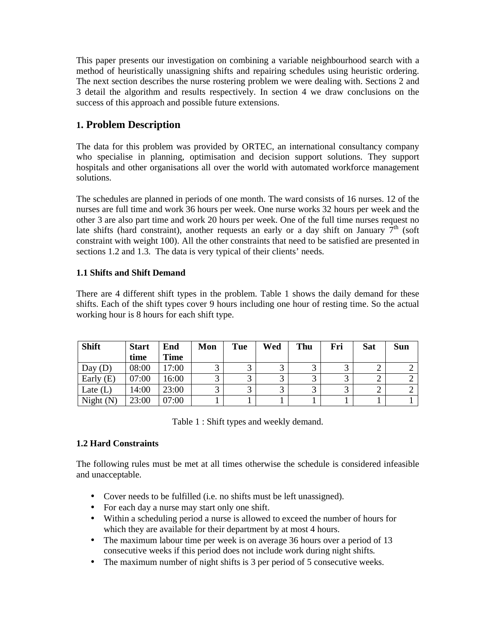This paper presents our investigation on combining a variable neighbourhood search with a method of heuristically unassigning shifts and repairing schedules using heuristic ordering. The next section describes the nurse rostering problem we were dealing with. Sections 2 and 3 detail the algorithm and results respectively. In section 4 we draw conclusions on the success of this approach and possible future extensions.

# **1. Problem Description**

The data for this problem was provided by ORTEC, an international consultancy company who specialise in planning, optimisation and decision support solutions. They support hospitals and other organisations all over the world with automated workforce management solutions.

The schedules are planned in periods of one month. The ward consists of 16 nurses. 12 of the nurses are full time and work 36 hours per week. One nurse works 32 hours per week and the other 3 are also part time and work 20 hours per week. One of the full time nurses request no late shifts (hard constraint), another requests an early or a day shift on January  $7<sup>th</sup>$  (soft) constraint with weight 100). All the other constraints that need to be satisfied are presented in sections 1.2 and 1.3. The data is very typical of their clients' needs.

## **1.1 Shifts and Shift Demand**

There are 4 different shift types in the problem. Table 1 shows the daily demand for these shifts. Each of the shift types cover 9 hours including one hour of resting time. So the actual working hour is 8 hours for each shift type.

| <b>Shift</b> | <b>Start</b> | End         | Mon | Tue | Wed | Thu | Fri | <b>Sat</b> | <b>Sun</b> |
|--------------|--------------|-------------|-----|-----|-----|-----|-----|------------|------------|
|              | time         | <b>Time</b> |     |     |     |     |     |            |            |
| Day $(D)$    | 08:00        | 17:00       |     |     |     |     |     | ∸          |            |
| Early $(E)$  | 07:00        | 16:00       |     |     |     |     |     | ⌒          |            |
| Late $(L)$   | 14:00        | 23:00       |     |     |     |     |     |            |            |
| Night $(N)$  | 23:00        | 07:00       |     |     |     |     |     |            |            |

Table 1 : Shift types and weekly demand.

## **1.2 Hard Constraints**

The following rules must be met at all times otherwise the schedule is considered infeasible and unacceptable.

- Cover needs to be fulfilled (i.e. no shifts must be left unassigned).
- For each day a nurse may start only one shift.
- Within a scheduling period a nurse is allowed to exceed the number of hours for which they are available for their department by at most 4 hours.
- The maximum labour time per week is on average 36 hours over a period of 13 consecutive weeks if this period does not include work during night shifts.
- The maximum number of night shifts is 3 per period of 5 consecutive weeks.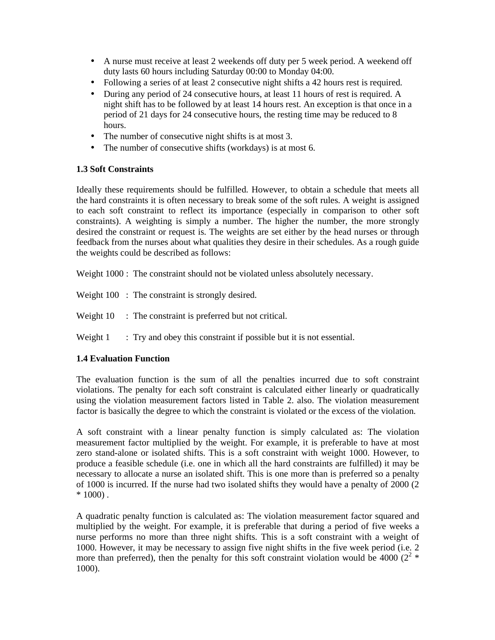- A nurse must receive at least 2 weekends off duty per 5 week period. A weekend off duty lasts 60 hours including Saturday 00:00 to Monday 04:00.
- Following a series of at least 2 consecutive night shifts a 42 hours rest is required.
- During any period of 24 consecutive hours, at least 11 hours of rest is required. A night shift has to be followed by at least 14 hours rest. An exception is that once in a period of 21 days for 24 consecutive hours, the resting time may be reduced to 8 hours.
- The number of consecutive night shifts is at most 3.
- The number of consecutive shifts (workdays) is at most 6.

## **1.3 Soft Constraints**

Ideally these requirements should be fulfilled. However, to obtain a schedule that meets all the hard constraints it is often necessary to break some of the soft rules. A weight is assigned to each soft constraint to reflect its importance (especially in comparison to other soft constraints). A weighting is simply a number. The higher the number, the more strongly desired the constraint or request is. The weights are set either by the head nurses or through feedback from the nurses about what qualities they desire in their schedules. As a rough guide the weights could be described as follows:

Weight 1000 : The constraint should not be violated unless absolutely necessary.

Weight 100 : The constraint is strongly desired.

Weight 10 : The constraint is preferred but not critical.

Weight 1 : Try and obey this constraint if possible but it is not essential.

## **1.4 Evaluation Function**

The evaluation function is the sum of all the penalties incurred due to soft constraint violations. The penalty for each soft constraint is calculated either linearly or quadratically using the violation measurement factors listed in Table 2. also. The violation measurement factor is basically the degree to which the constraint is violated or the excess of the violation.

A soft constraint with a linear penalty function is simply calculated as: The violation measurement factor multiplied by the weight. For example, it is preferable to have at most zero stand-alone or isolated shifts. This is a soft constraint with weight 1000. However, to produce a feasible schedule (i.e. one in which all the hard constraints are fulfilled) it may be necessary to allocate a nurse an isolated shift. This is one more than is preferred so a penalty of 1000 is incurred. If the nurse had two isolated shifts they would have a penalty of 2000 (2  $* 1000$ .

A quadratic penalty function is calculated as: The violation measurement factor squared and multiplied by the weight. For example, it is preferable that during a period of five weeks a nurse performs no more than three night shifts. This is a soft constraint with a weight of 1000. However, it may be necessary to assign five night shifts in the five week period (i.e. 2 more than preferred), then the penalty for this soft constraint violation would be 4000  $(2^2 *$ 1000).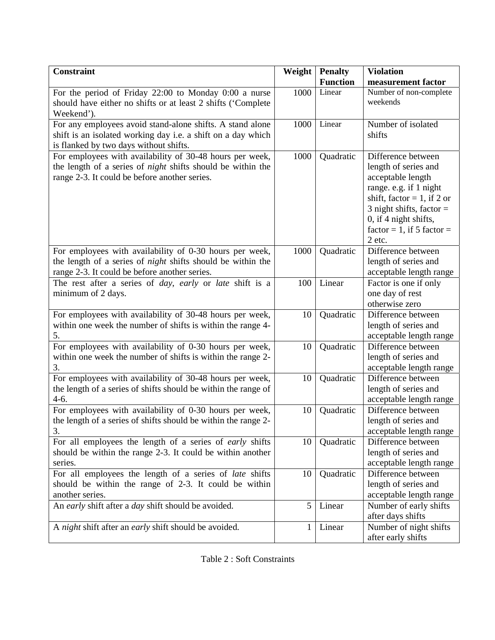| <b>Constraint</b>                                                                                                                                                               | Weight | <b>Penalty</b><br><b>Function</b> | <b>Violation</b><br>measurement factor                                                                                                                                                                                   |
|---------------------------------------------------------------------------------------------------------------------------------------------------------------------------------|--------|-----------------------------------|--------------------------------------------------------------------------------------------------------------------------------------------------------------------------------------------------------------------------|
| For the period of Friday 22:00 to Monday 0:00 a nurse<br>should have either no shifts or at least 2 shifts ('Complete<br>Weekend').                                             | 1000   | Linear                            | Number of non-complete<br>weekends                                                                                                                                                                                       |
| For any employees avoid stand-alone shifts. A stand alone<br>shift is an isolated working day i.e. a shift on a day which<br>is flanked by two days without shifts.             | 1000   | Linear                            | Number of isolated<br>shifts                                                                                                                                                                                             |
| For employees with availability of 30-48 hours per week,<br>the length of a series of <i>night</i> shifts should be within the<br>range 2-3. It could be before another series. | 1000   | Quadratic                         | Difference between<br>length of series and<br>acceptable length<br>range. e.g. if 1 night<br>shift, factor = 1, if 2 or<br>3 night shifts, factor $=$<br>0, if 4 night shifts,<br>$factor = 1$ , if 5 factor =<br>2 etc. |
| For employees with availability of 0-30 hours per week,<br>the length of a series of <i>night</i> shifts should be within the<br>range 2-3. It could be before another series.  | 1000   | Quadratic                         | Difference between<br>length of series and<br>acceptable length range                                                                                                                                                    |
| The rest after a series of <i>day</i> , <i>early</i> or <i>late</i> shift is a<br>minimum of 2 days.                                                                            | 100    | Linear                            | Factor is one if only<br>one day of rest<br>otherwise zero                                                                                                                                                               |
| For employees with availability of 30-48 hours per week,<br>within one week the number of shifts is within the range 4-<br>5.                                                   | 10     | Quadratic                         | Difference between<br>length of series and<br>acceptable length range                                                                                                                                                    |
| For employees with availability of 0-30 hours per week,<br>within one week the number of shifts is within the range 2-<br>3.                                                    | 10     | Quadratic                         | Difference between<br>length of series and<br>acceptable length range                                                                                                                                                    |
| For employees with availability of 30-48 hours per week,<br>the length of a series of shifts should be within the range of<br>$4-6.$                                            | 10     | Quadratic                         | Difference between<br>length of series and<br>acceptable length range                                                                                                                                                    |
| For employees with availability of 0-30 hours per week,<br>the length of a series of shifts should be within the range 2-<br>3.                                                 | 10     | Quadratic                         | Difference between<br>length of series and<br>acceptable length range                                                                                                                                                    |
| For all employees the length of a series of <i>early</i> shifts<br>should be within the range 2-3. It could be within another<br>series.                                        | 10     | Quadratic                         | Difference between<br>length of series and<br>acceptable length range                                                                                                                                                    |
| For all employees the length of a series of late shifts<br>should be within the range of 2-3. It could be within<br>another series.                                             | 10     | Quadratic                         | Difference between<br>length of series and<br>acceptable length range                                                                                                                                                    |
| An early shift after a day shift should be avoided.                                                                                                                             | 5      | Linear                            | Number of early shifts<br>after days shifts                                                                                                                                                                              |
| A night shift after an early shift should be avoided.                                                                                                                           | 1      | Linear                            | Number of night shifts<br>after early shifts                                                                                                                                                                             |

Table 2 : Soft Constraints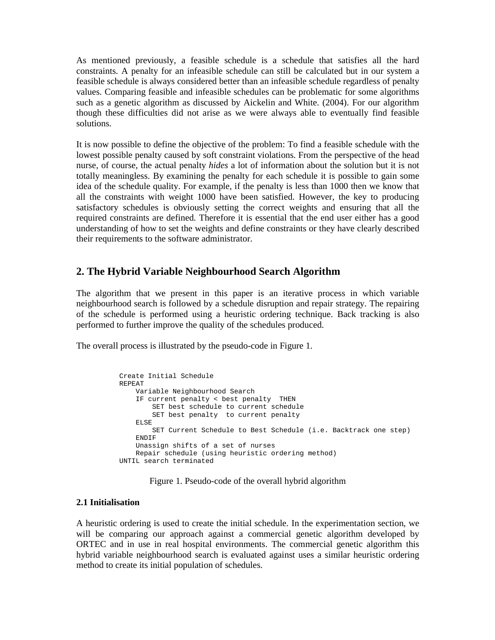As mentioned previously, a feasible schedule is a schedule that satisfies all the hard constraints. A penalty for an infeasible schedule can still be calculated but in our system a feasible schedule is always considered better than an infeasible schedule regardless of penalty values. Comparing feasible and infeasible schedules can be problematic for some algorithms such as a genetic algorithm as discussed by Aickelin and White. (2004). For our algorithm though these difficulties did not arise as we were always able to eventually find feasible solutions.

It is now possible to define the objective of the problem: To find a feasible schedule with the lowest possible penalty caused by soft constraint violations. From the perspective of the head nurse, of course, the actual penalty *hides* a lot of information about the solution but it is not totally meaningless. By examining the penalty for each schedule it is possible to gain some idea of the schedule quality. For example, if the penalty is less than 1000 then we know that all the constraints with weight 1000 have been satisfied. However, the key to producing satisfactory schedules is obviously setting the correct weights and ensuring that all the required constraints are defined. Therefore it is essential that the end user either has a good understanding of how to set the weights and define constraints or they have clearly described their requirements to the software administrator.

# **2. The Hybrid Variable Neighbourhood Search Algorithm**

The algorithm that we present in this paper is an iterative process in which variable neighbourhood search is followed by a schedule disruption and repair strategy. The repairing of the schedule is performed using a heuristic ordering technique. Back tracking is also performed to further improve the quality of the schedules produced.

The overall process is illustrated by the pseudo-code in Figure 1.

```
Create Initial Schedule 
REPEAT 
     Variable Neighbourhood Search 
     IF current penalty < best penalty THEN 
         SET best schedule to current schedule 
         SET best penalty to current penalty 
     ELSE 
         SET Current Schedule to Best Schedule (i.e. Backtrack one step) 
     ENDIF 
     Unassign shifts of a set of nurses 
     Repair schedule (using heuristic ordering method) 
UNTIL search terminated
```
Figure 1. Pseudo-code of the overall hybrid algorithm

#### **2.1 Initialisation**

A heuristic ordering is used to create the initial schedule. In the experimentation section, we will be comparing our approach against a commercial genetic algorithm developed by ORTEC and in use in real hospital environments. The commercial genetic algorithm this hybrid variable neighbourhood search is evaluated against uses a similar heuristic ordering method to create its initial population of schedules.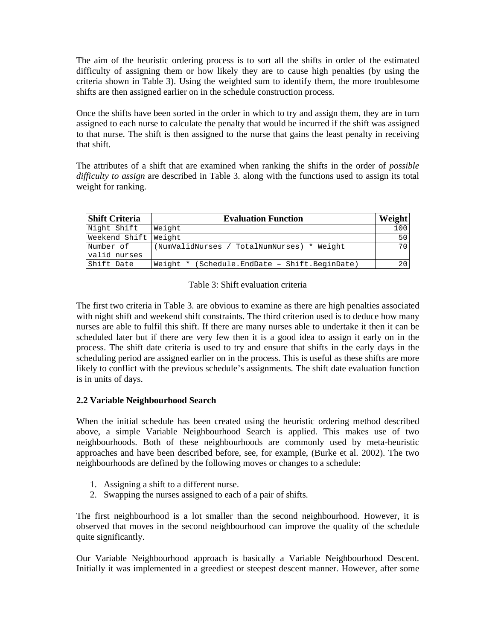The aim of the heuristic ordering process is to sort all the shifts in order of the estimated difficulty of assigning them or how likely they are to cause high penalties (by using the criteria shown in Table 3). Using the weighted sum to identify them, the more troublesome shifts are then assigned earlier on in the schedule construction process.

Once the shifts have been sorted in the order in which to try and assign them, they are in turn assigned to each nurse to calculate the penalty that would be incurred if the shift was assigned to that nurse. The shift is then assigned to the nurse that gains the least penalty in receiving that shift.

The attributes of a shift that are examined when ranking the shifts in the order of *possible difficulty to assign* are described in Table 3. along with the functions used to assign its total weight for ranking.

| <b>Shift Criteria</b>     | <b>Evaluation Function</b>                    |     |  |  |  |  |
|---------------------------|-----------------------------------------------|-----|--|--|--|--|
| Night Shift               | Weight                                        | 100 |  |  |  |  |
| Weekend Shift Weight      |                                               | 50  |  |  |  |  |
| Number of<br>valid nurses | (NumValidNurses / TotalNumNurses) * Weight    | 70  |  |  |  |  |
| Shift Date                | Weight * (Schedule.EndDate - Shift.BeginDate) | 20  |  |  |  |  |

Table 3: Shift evaluation criteria

The first two criteria in Table 3. are obvious to examine as there are high penalties associated with night shift and weekend shift constraints. The third criterion used is to deduce how many nurses are able to fulfil this shift. If there are many nurses able to undertake it then it can be scheduled later but if there are very few then it is a good idea to assign it early on in the process. The shift date criteria is used to try and ensure that shifts in the early days in the scheduling period are assigned earlier on in the process. This is useful as these shifts are more likely to conflict with the previous schedule's assignments. The shift date evaluation function is in units of days.

## **2.2 Variable Neighbourhood Search**

When the initial schedule has been created using the heuristic ordering method described above, a simple Variable Neighbourhood Search is applied. This makes use of two neighbourhoods. Both of these neighbourhoods are commonly used by meta-heuristic approaches and have been described before, see, for example, (Burke et al. 2002). The two neighbourhoods are defined by the following moves or changes to a schedule:

- 1. Assigning a shift to a different nurse.
- 2. Swapping the nurses assigned to each of a pair of shifts.

The first neighbourhood is a lot smaller than the second neighbourhood. However, it is observed that moves in the second neighbourhood can improve the quality of the schedule quite significantly.

Our Variable Neighbourhood approach is basically a Variable Neighbourhood Descent. Initially it was implemented in a greediest or steepest descent manner. However, after some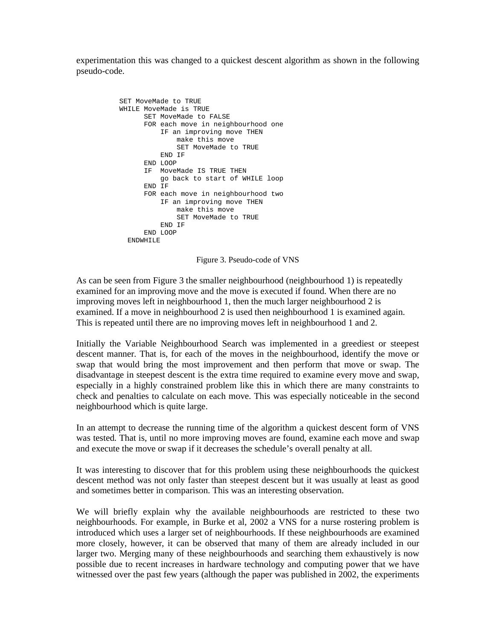experimentation this was changed to a quickest descent algorithm as shown in the following pseudo-code.

```
SET MoveMade to TRUE
WHILE MoveMade is TRUE 
       SET MoveMade to FALSE 
       FOR each move in neighbourhood one 
            IF an improving move THEN 
               make this move 
               SET MoveMade to TRUE 
           END IF 
       END LOOP 
       IF MoveMade IS TRUE THEN 
           go back to start of WHILE loop 
       END IF 
       FOR each move in neighbourhood two 
           IF an improving move THEN 
               make this move 
                SET MoveMade to TRUE 
           END IF 
       END LOOP 
   ENDWHILE
```
Figure 3. Pseudo-code of VNS

As can be seen from Figure 3 the smaller neighbourhood (neighbourhood 1) is repeatedly examined for an improving move and the move is executed if found. When there are no improving moves left in neighbourhood 1, then the much larger neighbourhood 2 is examined. If a move in neighbourhood 2 is used then neighbourhood 1 is examined again. This is repeated until there are no improving moves left in neighbourhood 1 and 2.

Initially the Variable Neighbourhood Search was implemented in a greediest or steepest descent manner. That is, for each of the moves in the neighbourhood, identify the move or swap that would bring the most improvement and then perform that move or swap. The disadvantage in steepest descent is the extra time required to examine every move and swap, especially in a highly constrained problem like this in which there are many constraints to check and penalties to calculate on each move. This was especially noticeable in the second neighbourhood which is quite large.

In an attempt to decrease the running time of the algorithm a quickest descent form of VNS was tested. That is, until no more improving moves are found, examine each move and swap and execute the move or swap if it decreases the schedule's overall penalty at all.

It was interesting to discover that for this problem using these neighbourhoods the quickest descent method was not only faster than steepest descent but it was usually at least as good and sometimes better in comparison. This was an interesting observation.

We will briefly explain why the available neighbourhoods are restricted to these two neighbourhoods. For example, in Burke et al, 2002 a VNS for a nurse rostering problem is introduced which uses a larger set of neighbourhoods. If these neighbourhoods are examined more closely, however, it can be observed that many of them are already included in our larger two. Merging many of these neighbourhoods and searching them exhaustively is now possible due to recent increases in hardware technology and computing power that we have witnessed over the past few years (although the paper was published in 2002, the experiments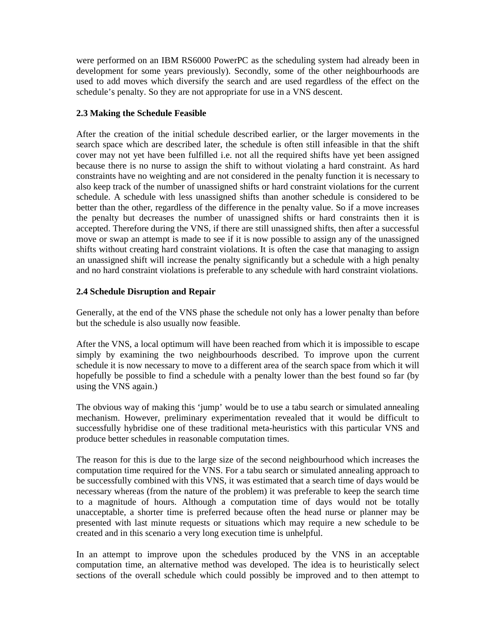were performed on an IBM RS6000 PowerPC as the scheduling system had already been in development for some years previously). Secondly, some of the other neighbourhoods are used to add moves which diversify the search and are used regardless of the effect on the schedule's penalty. So they are not appropriate for use in a VNS descent.

#### **2.3 Making the Schedule Feasible**

After the creation of the initial schedule described earlier, or the larger movements in the search space which are described later, the schedule is often still infeasible in that the shift cover may not yet have been fulfilled i.e. not all the required shifts have yet been assigned because there is no nurse to assign the shift to without violating a hard constraint. As hard constraints have no weighting and are not considered in the penalty function it is necessary to also keep track of the number of unassigned shifts or hard constraint violations for the current schedule. A schedule with less unassigned shifts than another schedule is considered to be better than the other, regardless of the difference in the penalty value. So if a move increases the penalty but decreases the number of unassigned shifts or hard constraints then it is accepted. Therefore during the VNS, if there are still unassigned shifts, then after a successful move or swap an attempt is made to see if it is now possible to assign any of the unassigned shifts without creating hard constraint violations. It is often the case that managing to assign an unassigned shift will increase the penalty significantly but a schedule with a high penalty and no hard constraint violations is preferable to any schedule with hard constraint violations.

#### **2.4 Schedule Disruption and Repair**

Generally, at the end of the VNS phase the schedule not only has a lower penalty than before but the schedule is also usually now feasible.

After the VNS, a local optimum will have been reached from which it is impossible to escape simply by examining the two neighbourhoods described. To improve upon the current schedule it is now necessary to move to a different area of the search space from which it will hopefully be possible to find a schedule with a penalty lower than the best found so far (by using the VNS again.)

The obvious way of making this 'jump' would be to use a tabu search or simulated annealing mechanism. However, preliminary experimentation revealed that it would be difficult to successfully hybridise one of these traditional meta-heuristics with this particular VNS and produce better schedules in reasonable computation times.

The reason for this is due to the large size of the second neighbourhood which increases the computation time required for the VNS. For a tabu search or simulated annealing approach to be successfully combined with this VNS, it was estimated that a search time of days would be necessary whereas (from the nature of the problem) it was preferable to keep the search time to a magnitude of hours. Although a computation time of days would not be totally unacceptable, a shorter time is preferred because often the head nurse or planner may be presented with last minute requests or situations which may require a new schedule to be created and in this scenario a very long execution time is unhelpful.

In an attempt to improve upon the schedules produced by the VNS in an acceptable computation time, an alternative method was developed. The idea is to heuristically select sections of the overall schedule which could possibly be improved and to then attempt to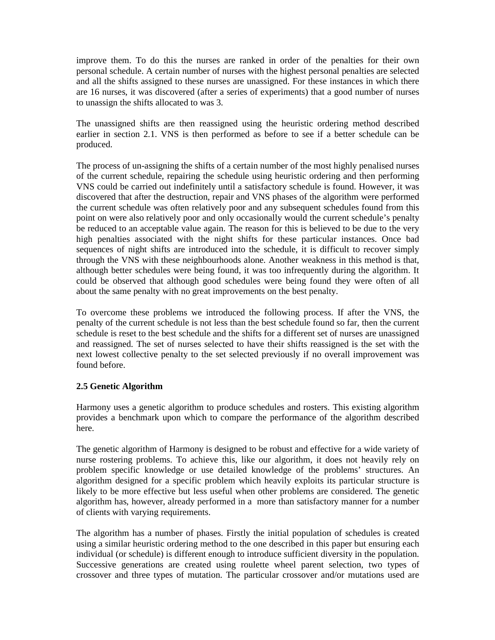improve them. To do this the nurses are ranked in order of the penalties for their own personal schedule. A certain number of nurses with the highest personal penalties are selected and all the shifts assigned to these nurses are unassigned. For these instances in which there are 16 nurses, it was discovered (after a series of experiments) that a good number of nurses to unassign the shifts allocated to was 3.

The unassigned shifts are then reassigned using the heuristic ordering method described earlier in section 2.1. VNS is then performed as before to see if a better schedule can be produced.

The process of un-assigning the shifts of a certain number of the most highly penalised nurses of the current schedule, repairing the schedule using heuristic ordering and then performing VNS could be carried out indefinitely until a satisfactory schedule is found. However, it was discovered that after the destruction, repair and VNS phases of the algorithm were performed the current schedule was often relatively poor and any subsequent schedules found from this point on were also relatively poor and only occasionally would the current schedule's penalty be reduced to an acceptable value again. The reason for this is believed to be due to the very high penalties associated with the night shifts for these particular instances. Once bad sequences of night shifts are introduced into the schedule, it is difficult to recover simply through the VNS with these neighbourhoods alone. Another weakness in this method is that, although better schedules were being found, it was too infrequently during the algorithm. It could be observed that although good schedules were being found they were often of all about the same penalty with no great improvements on the best penalty.

To overcome these problems we introduced the following process. If after the VNS, the penalty of the current schedule is not less than the best schedule found so far, then the current schedule is reset to the best schedule and the shifts for a different set of nurses are unassigned and reassigned. The set of nurses selected to have their shifts reassigned is the set with the next lowest collective penalty to the set selected previously if no overall improvement was found before.

#### **2.5 Genetic Algorithm**

Harmony uses a genetic algorithm to produce schedules and rosters. This existing algorithm provides a benchmark upon which to compare the performance of the algorithm described here.

The genetic algorithm of Harmony is designed to be robust and effective for a wide variety of nurse rostering problems. To achieve this, like our algorithm, it does not heavily rely on problem specific knowledge or use detailed knowledge of the problems' structures. An algorithm designed for a specific problem which heavily exploits its particular structure is likely to be more effective but less useful when other problems are considered. The genetic algorithm has, however, already performed in a more than satisfactory manner for a number of clients with varying requirements.

The algorithm has a number of phases. Firstly the initial population of schedules is created using a similar heuristic ordering method to the one described in this paper but ensuring each individual (or schedule) is different enough to introduce sufficient diversity in the population. Successive generations are created using roulette wheel parent selection, two types of crossover and three types of mutation. The particular crossover and/or mutations used are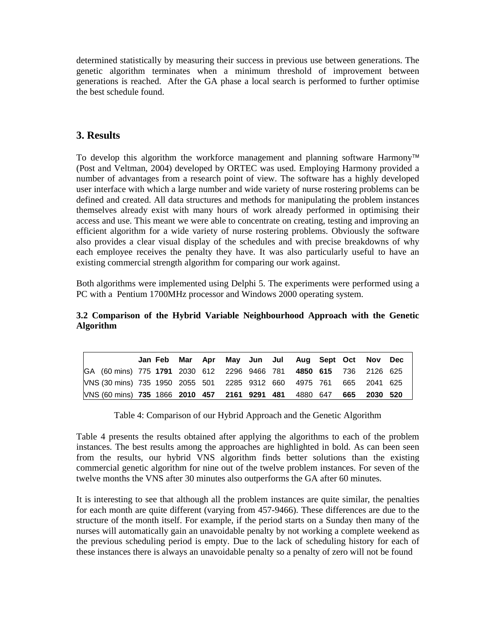determined statistically by measuring their success in previous use between generations. The genetic algorithm terminates when a minimum threshold of improvement between generations is reached. After the GA phase a local search is performed to further optimise the best schedule found.

## **3. Results**

To develop this algorithm the workforce management and planning software Harmony™ (Post and Veltman, 2004) developed by ORTEC was used. Employing Harmony provided a number of advantages from a research point of view. The software has a highly developed user interface with which a large number and wide variety of nurse rostering problems can be defined and created. All data structures and methods for manipulating the problem instances themselves already exist with many hours of work already performed in optimising their access and use. This meant we were able to concentrate on creating, testing and improving an efficient algorithm for a wide variety of nurse rostering problems. Obviously the software also provides a clear visual display of the schedules and with precise breakdowns of why each employee receives the penalty they have. It was also particularly useful to have an existing commercial strength algorithm for comparing our work against.

Both algorithms were implemented using Delphi 5. The experiments were performed using a PC with a Pentium 1700MHz processor and Windows 2000 operating system.

#### **3.2 Comparison of the Hybrid Variable Neighbourhood Approach with the Genetic Algorithm**

|                                                                     |  |  |  | Jan Feb Mar Apr May Jun Jul Aug Sept Oct Nov Dec |     |          |  |
|---------------------------------------------------------------------|--|--|--|--------------------------------------------------|-----|----------|--|
| GA (60 mins) 775 1791 2030 612 2296 9466 781 4850 615 736 2126 625  |  |  |  |                                                  |     |          |  |
| VNS (30 mins) 735 1950 2055 501 2285 9312 660 4975 761 665 2041 625 |  |  |  |                                                  |     |          |  |
| VNS (60 mins) 735 1866 2010 457 2161 9291 481 4880 647              |  |  |  |                                                  | 665 | 2030 520 |  |

Table 4: Comparison of our Hybrid Approach and the Genetic Algorithm

Table 4 presents the results obtained after applying the algorithms to each of the problem instances. The best results among the approaches are highlighted in bold. As can been seen from the results, our hybrid VNS algorithm finds better solutions than the existing commercial genetic algorithm for nine out of the twelve problem instances. For seven of the twelve months the VNS after 30 minutes also outperforms the GA after 60 minutes.

It is interesting to see that although all the problem instances are quite similar, the penalties for each month are quite different (varying from 457-9466). These differences are due to the structure of the month itself. For example, if the period starts on a Sunday then many of the nurses will automatically gain an unavoidable penalty by not working a complete weekend as the previous scheduling period is empty. Due to the lack of scheduling history for each of these instances there is always an unavoidable penalty so a penalty of zero will not be found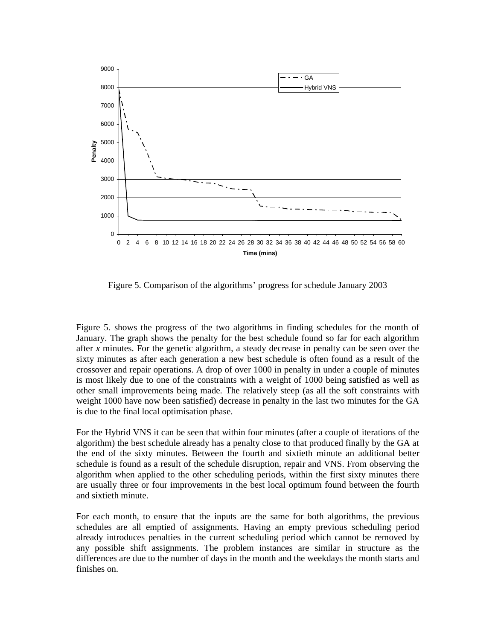

Figure 5. Comparison of the algorithms' progress for schedule January 2003

Figure 5. shows the progress of the two algorithms in finding schedules for the month of January. The graph shows the penalty for the best schedule found so far for each algorithm after *x* minutes. For the genetic algorithm, a steady decrease in penalty can be seen over the sixty minutes as after each generation a new best schedule is often found as a result of the crossover and repair operations. A drop of over 1000 in penalty in under a couple of minutes is most likely due to one of the constraints with a weight of 1000 being satisfied as well as other small improvements being made. The relatively steep (as all the soft constraints with weight 1000 have now been satisfied) decrease in penalty in the last two minutes for the GA is due to the final local optimisation phase.

For the Hybrid VNS it can be seen that within four minutes (after a couple of iterations of the algorithm) the best schedule already has a penalty close to that produced finally by the GA at the end of the sixty minutes. Between the fourth and sixtieth minute an additional better schedule is found as a result of the schedule disruption, repair and VNS. From observing the algorithm when applied to the other scheduling periods, within the first sixty minutes there are usually three or four improvements in the best local optimum found between the fourth and sixtieth minute.

For each month, to ensure that the inputs are the same for both algorithms, the previous schedules are all emptied of assignments. Having an empty previous scheduling period already introduces penalties in the current scheduling period which cannot be removed by any possible shift assignments. The problem instances are similar in structure as the differences are due to the number of days in the month and the weekdays the month starts and finishes on.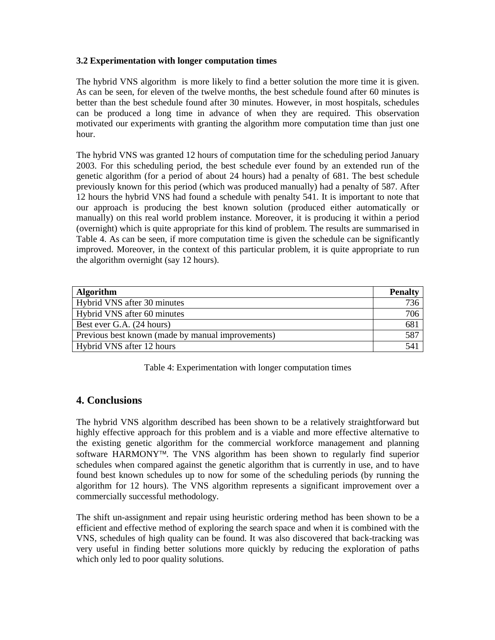#### **3.2 Experimentation with longer computation times**

The hybrid VNS algorithm is more likely to find a better solution the more time it is given. As can be seen, for eleven of the twelve months, the best schedule found after 60 minutes is better than the best schedule found after 30 minutes. However, in most hospitals, schedules can be produced a long time in advance of when they are required. This observation motivated our experiments with granting the algorithm more computation time than just one hour.

The hybrid VNS was granted 12 hours of computation time for the scheduling period January 2003. For this scheduling period, the best schedule ever found by an extended run of the genetic algorithm (for a period of about 24 hours) had a penalty of 681. The best schedule previously known for this period (which was produced manually) had a penalty of 587. After 12 hours the hybrid VNS had found a schedule with penalty 541. It is important to note that our approach is producing the best known solution (produced either automatically or manually) on this real world problem instance. Moreover, it is producing it within a period (overnight) which is quite appropriate for this kind of problem. The results are summarised in Table 4. As can be seen, if more computation time is given the schedule can be significantly improved. Moreover, in the context of this particular problem, it is quite appropriate to run the algorithm overnight (say 12 hours).

| <b>Algorithm</b>                                  | <b>Penalty</b> |  |  |
|---------------------------------------------------|----------------|--|--|
| Hybrid VNS after 30 minutes                       | 736            |  |  |
| Hybrid VNS after 60 minutes                       |                |  |  |
| Best ever G.A. (24 hours)                         |                |  |  |
| Previous best known (made by manual improvements) |                |  |  |
| Hybrid VNS after 12 hours                         |                |  |  |

Table 4: Experimentation with longer computation times

# **4. Conclusions**

The hybrid VNS algorithm described has been shown to be a relatively straightforward but highly effective approach for this problem and is a viable and more effective alternative to the existing genetic algorithm for the commercial workforce management and planning software HARMONY<sup>™</sup>. The VNS algorithm has been shown to regularly find superior schedules when compared against the genetic algorithm that is currently in use, and to have found best known schedules up to now for some of the scheduling periods (by running the algorithm for 12 hours). The VNS algorithm represents a significant improvement over a commercially successful methodology.

The shift un-assignment and repair using heuristic ordering method has been shown to be a efficient and effective method of exploring the search space and when it is combined with the VNS, schedules of high quality can be found. It was also discovered that back-tracking was very useful in finding better solutions more quickly by reducing the exploration of paths which only led to poor quality solutions.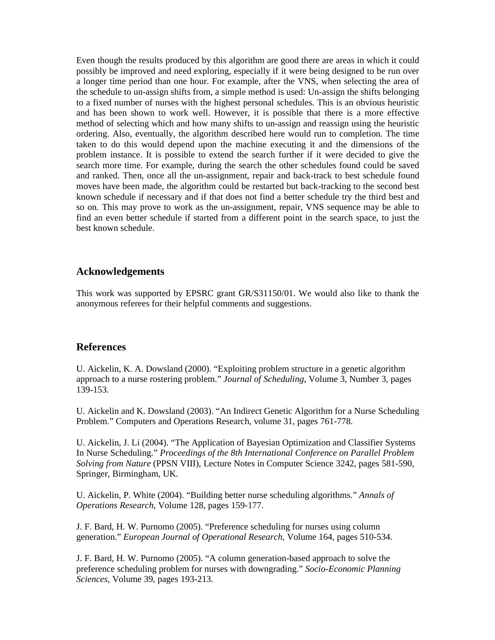Even though the results produced by this algorithm are good there are areas in which it could possibly be improved and need exploring, especially if it were being designed to be run over a longer time period than one hour. For example, after the VNS, when selecting the area of the schedule to un-assign shifts from, a simple method is used: Un-assign the shifts belonging to a fixed number of nurses with the highest personal schedules. This is an obvious heuristic and has been shown to work well. However, it is possible that there is a more effective method of selecting which and how many shifts to un-assign and reassign using the heuristic ordering. Also, eventually, the algorithm described here would run to completion. The time taken to do this would depend upon the machine executing it and the dimensions of the problem instance. It is possible to extend the search further if it were decided to give the search more time. For example, during the search the other schedules found could be saved and ranked. Then, once all the un-assignment, repair and back-track to best schedule found moves have been made, the algorithm could be restarted but back-tracking to the second best known schedule if necessary and if that does not find a better schedule try the third best and so on. This may prove to work as the un-assignment, repair, VNS sequence may be able to find an even better schedule if started from a different point in the search space, to just the best known schedule.

## **Acknowledgements**

This work was supported by EPSRC grant GR/S31150/01. We would also like to thank the anonymous referees for their helpful comments and suggestions.

#### **References**

U. Aickelin, K. A. Dowsland (2000). "Exploiting problem structure in a genetic algorithm approach to a nurse rostering problem." *Journal of Scheduling*, Volume 3, Number 3, pages 139-153.

U. Aickelin and K. Dowsland (2003). "An Indirect Genetic Algorithm for a Nurse Scheduling Problem." Computers and Operations Research, volume 31, pages 761-778.

U. Aickelin, J. Li (2004). "The Application of Bayesian Optimization and Classifier Systems In Nurse Scheduling." *Proceedings of the 8th International Conference on Parallel Problem Solving from Nature* (PPSN VIII), Lecture Notes in Computer Science 3242, pages 581-590, Springer, Birmingham, UK.

U. Aickelin, P. White (2004). "Building better nurse scheduling algorithms." *Annals of Operations Research*, Volume 128, pages 159-177.

J. F. Bard, H. W. Purnomo (2005). "Preference scheduling for nurses using column generation." *European Journal of Operational Research*, Volume 164, pages 510-534.

J. F. Bard, H. W. Purnomo (2005). "A column generation-based approach to solve the preference scheduling problem for nurses with downgrading." *Socio-Economic Planning Sciences*, Volume 39, pages 193-213.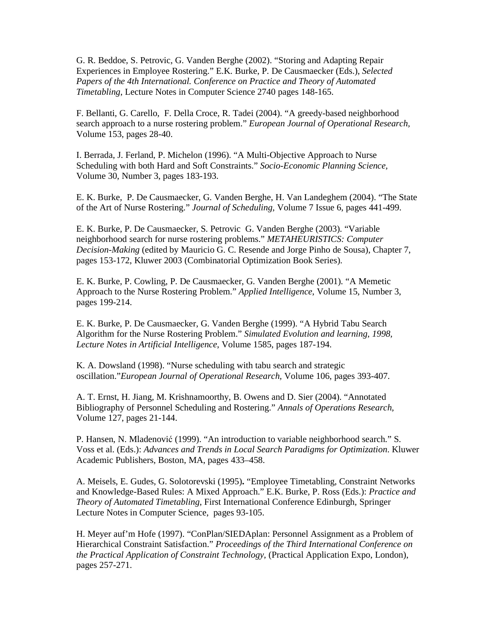G. R. Beddoe, S. Petrovic, G. Vanden Berghe (2002). "Storing and Adapting Repair Experiences in Employee Rostering." E.K. Burke, P. De Causmaecker (Eds.), *Selected Papers of the 4th International. Conference on Practice and Theory of Automated Timetabling*, Lecture Notes in Computer Science 2740 pages 148-165.

F. Bellanti, G. Carello, F. Della Croce, R. Tadei (2004). "A greedy-based neighborhood search approach to a nurse rostering problem." *European Journal of Operational Research,* Volume 153, pages 28-40.

I. Berrada, J. Ferland, P. Michelon (1996). "A Multi-Objective Approach to Nurse Scheduling with both Hard and Soft Constraints." *Socio-Economic Planning Science,* Volume 30, Number 3, pages 183-193.

E. K. Burke, P. De Causmaecker, G. Vanden Berghe, H. Van Landeghem (2004). "The State of the Art of Nurse Rostering." *Journal of Scheduling,* Volume 7 Issue 6, pages 441-499.

E. K. Burke, P. De Causmaecker, S. Petrovic G. Vanden Berghe (2003). "Variable neighborhood search for nurse rostering problems." *METAHEURISTICS: Computer Decision-Making* (edited by Mauricio G. C. Resende and Jorge Pinho de Sousa), Chapter 7, pages 153-172, Kluwer 2003 (Combinatorial Optimization Book Series).

E. K. Burke, P. Cowling, P. De Causmaecker, G. Vanden Berghe (2001). "A Memetic Approach to the Nurse Rostering Problem." *Applied Intelligence*, Volume 15, Number 3, pages 199-214.

E. K. Burke, P. De Causmaecker, G. Vanden Berghe (1999). "A Hybrid Tabu Search Algorithm for the Nurse Rostering Problem." *Simulated Evolution and learning, 1998, Lecture Notes in Artificial Intelligence*, Volume 1585, pages 187-194.

K. A. Dowsland (1998). "Nurse scheduling with tabu search and strategic oscillation."*European Journal of Operational Research,* Volume 106, pages 393-407.

A. T. Ernst, H. Jiang, M. Krishnamoorthy, B. Owens and D. Sier (2004). "Annotated Bibliography of Personnel Scheduling and Rostering." *Annals of Operations Research,* Volume 127, pages 21-144.

P. Hansen, N. Mladenović (1999). "An introduction to variable neighborhood search." S. Voss et al. (Eds.): *Advances and Trends in Local Search Paradigms for Optimization*. Kluwer Academic Publishers, Boston, MA, pages 433–458.

A. Meisels, E. Gudes, G. Solotorevski (1995)**.** "Employee Timetabling, Constraint Networks and Knowledge-Based Rules: A Mixed Approach." E.K. Burke, P. Ross (Eds.): *Practice and Theory of Automated Timetabling*, First International Conference Edinburgh, Springer Lecture Notes in Computer Science, pages 93-105.

H. Meyer auf'm Hofe (1997). "ConPlan/SIEDAplan: Personnel Assignment as a Problem of Hierarchical Constraint Satisfaction." *Proceedings of the Third International Conference on the Practical Application of Constraint Technology*, (Practical Application Expo, London), pages 257-271.